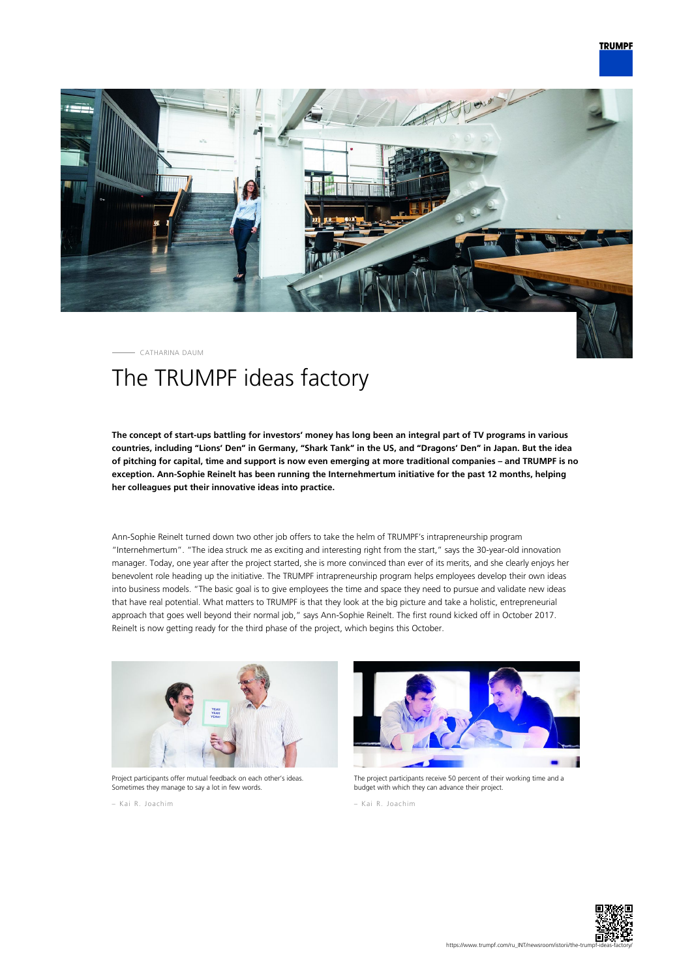## **TRUMPF**



CATHARINA DAUM

## The TRUMPF ideas factory

**The concept of start-ups battling for investors' money has long been an integral part of TV programs in various countries, including "Lions' Den" in Germany, "Shark Tank" in the US, and "Dragons' Den" in Japan. But the idea of pitching for capital, time and support is now even emerging at more traditional companies – and TRUMPF is no exception. Ann-Sophie Reinelt has been running the Internehmertum initiative for the past 12 months, helping her colleagues put their innovative ideas into practice.**

Ann-Sophie Reinelt turned down two other job offers to take the helm of TRUMPF's intrapreneurship program "Internehmertum". "The idea struck me as exciting and interesting right from the start," says the 30-year-old innovation manager. Today, one year after the project started, she is more convinced than ever of its merits, and she clearly enjoys her benevolent role heading up the initiative. The TRUMPF intrapreneurship program helps employees develop their own ideas into business models. "The basic goal is to give employees the time and space they need to pursue and validate new ideas that have real potential. What matters to TRUMPF is that they look at the big picture and take a holistic, entrepreneurial approach that goes well beyond their normal job," says Ann-Sophie Reinelt. The first round kicked off in October 2017. Reinelt is now getting ready for the third phase of the project, which begins this October.



Project participants offer mutual feedback on each other's ideas Sometimes they manage to say a lot in few words.

– Kai R. Joachim



The project participants receive 50 percent of their working time and a budget with which they can advance their project.

– Kai R. Joachim

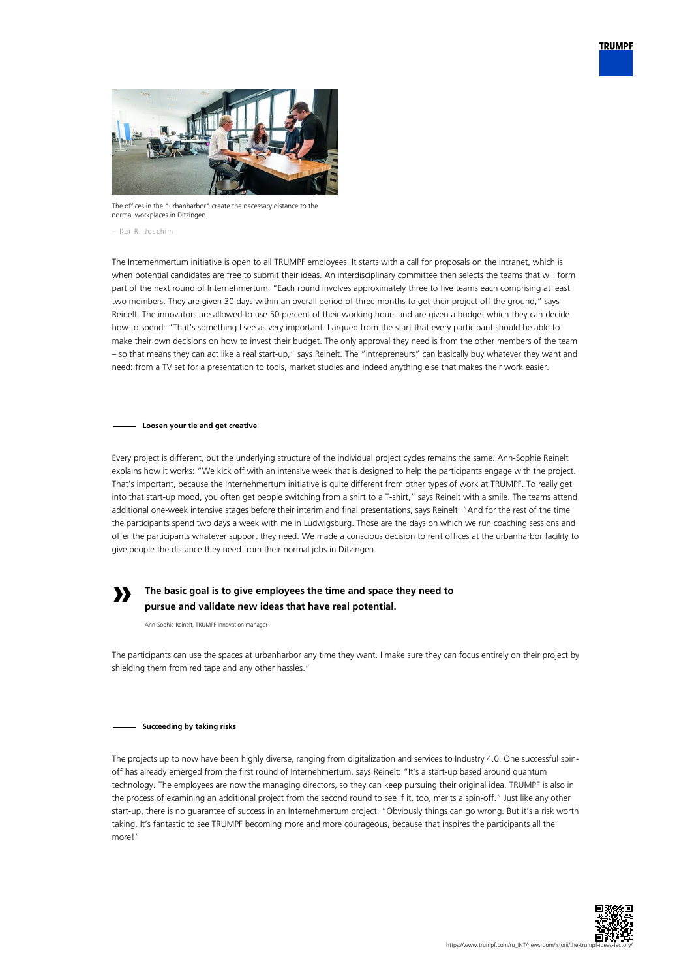



The offices in the "urbanharbor" create the necessary distance to the normal workplaces in Ditzingen.

– Kai R. Joachim

The Internehmertum initiative is open to all TRUMPF employees. It starts with a call for proposals on the intranet, which is when potential candidates are free to submit their ideas. An interdisciplinary committee then selects the teams that will form part of the next round of Internehmertum. "Each round involves approximately three to five teams each comprising at least two members. They are given 30 days within an overall period of three months to get their project off the ground," says Reinelt. The innovators are allowed to use 50 percent of their working hours and are given a budget which they can decide how to spend: "That's something I see as very important. I argued from the start that every participant should be able to make their own decisions on how to invest their budget. The only approval they need is from the other members of the team – so that means they can act like a real start-up," says Reinelt. The "intrepreneurs" can basically buy whatever they want and need: from a TV set for a presentation to tools, market studies and indeed anything else that makes their work easier.

**Loosen your tie and get creative**

Every project is different, but the underlying structure of the individual project cycles remains the same. Ann-Sophie Reinelt explains how it works: "We kick off with an intensive week that is designed to help the participants engage with the project. That's important, because the Internehmertum initiative is quite different from other types of work at TRUMPF. To really get into that start-up mood, you often get people switching from a shirt to a T-shirt," says Reinelt with a smile. The teams attend additional one-week intensive stages before their interim and final presentations, says Reinelt: "And for the rest of the time the participants spend two days a week with me in Ludwigsburg. Those are the days on which we run coaching sessions and offer the participants whatever support they need. We made a conscious decision to rent offices at the urbanharbor facility to give people the distance they need from their normal jobs in Ditzingen.

## **»**

## **The basic goal is to give employees the time and space they need to pursue and validate new ideas that have real potential.**

Ann-Sophie Reinelt, TRUMPF innovation manager

The participants can use the spaces at urbanharbor any time they want. I make sure they can focus entirely on their project by shielding them from red tape and any other hassles."

**Succeeding by taking risks**

The projects up to now have been highly diverse, ranging from digitalization and services to Industry 4.0. One successful spinoff has already emerged from the first round of Internehmertum, says Reinelt: "It's a start-up based around quantum technology. The employees are now the managing directors, so they can keep pursuing their original idea. TRUMPF is also in the process of examining an additional project from the second round to see if it, too, merits a spin-off." Just like any other start-up, there is no guarantee of success in an Internehmertum project. "Obviously things can go wrong. But it's a risk worth taking. It's fantastic to see TRUMPF becoming more and more courageous, because that inspires the participants all the more!"